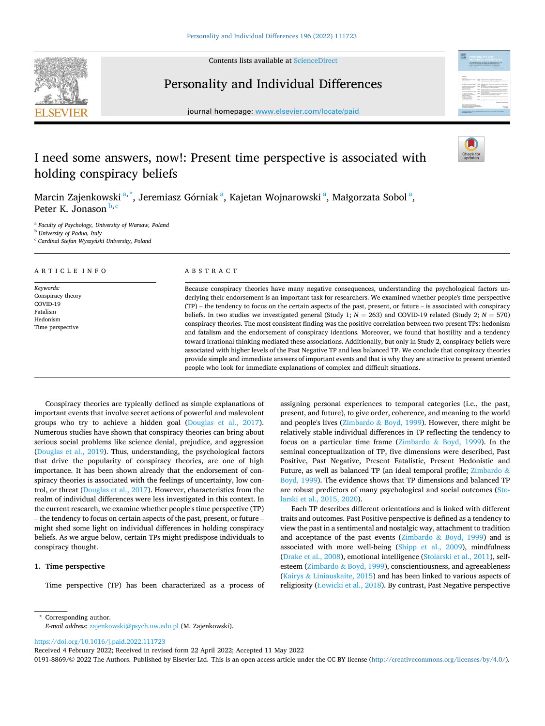

Contents lists available at [ScienceDirect](www.sciencedirect.com/science/journal/01918869)

## Personality and Individual Differences



journal homepage: [www.elsevier.com/locate/paid](https://www.elsevier.com/locate/paid)

# I need some answers, now!: Present time perspective is associated with holding conspiracy beliefs

Marcin Zajenkowski $^{\mathrm{a},\mathrm{*}}$ , Jeremiasz Górniak $^{\mathrm{a}}$ , Kajetan Wojnarowski $^{\mathrm{a}}$ , Małgorzata Sobol $^{\mathrm{a}},$ Peter K. Jonason b,c

<sup>a</sup> *Faculty of Psychology, University of Warsaw, Poland* 

<sup>b</sup> *University of Padua, Italy* 

<sup>c</sup> Cardinal Stefan Wyszyński University, Poland

#### ARTICLE INFO

*Keywords:*  Conspiracy theory COVID-19 Fatalism Hedonism Time perspective

## ABSTRACT

Because conspiracy theories have many negative consequences, understanding the psychological factors underlying their endorsement is an important task for researchers. We examined whether people's time perspective (TP) – the tendency to focus on the certain aspects of the past, present, or future – is associated with conspiracy beliefs. In two studies we investigated general (Study 1;  $N = 263$ ) and COVID-19 related (Study 2;  $N = 570$ ) conspiracy theories. The most consistent finding was the positive correlation between two present TPs: hedonism and fatalism and the endorsement of conspiracy ideations. Moreover, we found that hostility and a tendency toward irrational thinking mediated these associations. Additionally, but only in Study 2, conspiracy beliefs were associated with higher levels of the Past Negative TP and less balanced TP. We conclude that conspiracy theories provide simple and immediate answers of important events and that is why they are attractive to present oriented people who look for immediate explanations of complex and difficult situations.

Conspiracy theories are typically defined as simple explanations of important events that involve secret actions of powerful and malevolent groups who try to achieve a hidden goal [\(Douglas et al., 2017](#page-5-0)). Numerous studies have shown that conspiracy theories can bring about serious social problems like science denial, prejudice, and aggression ([Douglas et al., 2019](#page-5-0)). Thus, understanding, the psychological factors that drive the popularity of conspiracy theories, are one of high importance. It has been shown already that the endorsement of conspiracy theories is associated with the feelings of uncertainty, low control, or threat ([Douglas et al., 2017\)](#page-5-0). However, characteristics from the realm of individual differences were less investigated in this context. In the current research, we examine whether people's time perspective (TP) – the tendency to focus on certain aspects of the past, present, or future – might shed some light on individual differences in holding conspiracy beliefs. As we argue below, certain TPs might predispose individuals to conspiracy thought.

## **1. Time perspective**

Time perspective (TP) has been characterized as a process of

assigning personal experiences to temporal categories (i.e., the past, present, and future), to give order, coherence, and meaning to the world and people's lives (Zimbardo & [Boyd, 1999\)](#page-6-0). However, there might be relatively stable individual differences in TP reflecting the tendency to focus on a particular time frame (Zimbardo & [Boyd, 1999](#page-6-0)). In the seminal conceptualization of TP, five dimensions were described, Past Positive, Past Negative, Present Fatalistic, Present Hedonistic and Future, as well as balanced TP (an ideal temporal profile; [Zimbardo](#page-6-0) & [Boyd, 1999](#page-6-0)). The evidence shows that TP dimensions and balanced TP are robust predictors of many psychological and social outcomes ([Sto](#page-5-0)[larski et al., 2015, 2020](#page-5-0)).

Each TP describes different orientations and is linked with different traits and outcomes. Past Positive perspective is defined as a tendency to view the past in a sentimental and nostalgic way, attachment to tradition and acceptance of the past events (Zimbardo  $\&$  [Boyd, 1999](#page-6-0)) and is associated with more well-being ([Shipp et al., 2009](#page-5-0)), mindfulness ([Drake et al., 2008](#page-5-0)), emotional intelligence [\(Stolarski et al., 2011\)](#page-5-0), selfesteem (Zimbardo & [Boyd, 1999](#page-6-0)), conscientiousness, and agreeableness (Kairys & [Liniauskaite, 2015\)](#page-5-0) and has been linked to various aspects of religiosity (Ł[owicki et al., 2018\)](#page-5-0). By contrast, Past Negative perspective

\* Corresponding author. *E-mail address:* [zajenkowski@psych.uw.edu.pl](mailto:zajenkowski@psych.uw.edu.pl) (M. Zajenkowski).

<https://doi.org/10.1016/j.paid.2022.111723>

Received 4 February 2022; Received in revised form 22 April 2022; Accepted 11 May 2022

0191-8869/© 2022 The Authors. Published by Elsevier Ltd. This is an open access article under the CC BY license [\(http://creativecommons.org/licenses/by/4.0/\)](http://creativecommons.org/licenses/by/4.0/).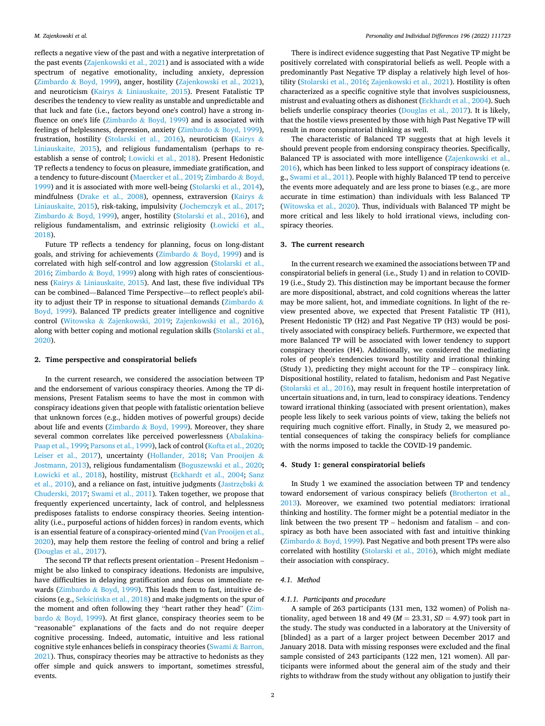reflects a negative view of the past and with a negative interpretation of the past events [\(Zajenkowski et al., 2021](#page-6-0)) and is associated with a wide spectrum of negative emotionality, including anxiety, depression (Zimbardo & [Boyd, 1999\)](#page-6-0), anger, hostility [\(Zajenkowski et al., 2021](#page-6-0)), and neuroticism (Kairys & [Liniauskaite, 2015](#page-5-0)). Present Fatalistic TP describes the tendency to view reality as unstable and unpredictable and that luck and fate (i.e., factors beyond one's control) have a strong influence on one's life (Zimbardo  $&$  [Boyd, 1999](#page-6-0)) and is associated with feelings of helplessness, depression, anxiety (Zimbardo & [Boyd, 1999](#page-6-0)), frustration, hostility ([Stolarski et al., 2016](#page-5-0)), neuroticism ([Kairys](#page-5-0) & [Liniauskaite, 2015\)](#page-5-0), and religious fundamentalism (perhaps to reestablish a sense of control; Ł[owicki et al., 2018\)](#page-5-0). Present Hedonistic TP reflects a tendency to focus on pleasure, immediate gratification, and a tendency to future-discount [\(Maercker et al., 2019;](#page-5-0) [Zimbardo](#page-6-0) & Boyd, [1999\)](#page-6-0) and it is associated with more well-being ([Stolarski et al., 2014](#page-5-0)), mindfulness [\(Drake et al., 2008\)](#page-5-0), openness, extraversion [\(Kairys](#page-5-0) & [Liniauskaite, 2015](#page-5-0)), risk-taking, impulsivity ([Jochemczyk et al., 2017](#page-5-0); Zimbardo & [Boyd, 1999\)](#page-6-0), anger, hostility ([Stolarski et al., 2016](#page-5-0)), and religious fundamentalism, and extrinsic religiosity (Ł[owicki et al.,](#page-5-0)  [2018\)](#page-5-0).

Future TP reflects a tendency for planning, focus on long-distant goals, and striving for achievements ( $Zimbardo & Boyd, 1999$  $Zimbardo & Boyd, 1999$ ) and is correlated with high self-control and low aggression ([Stolarski et al.,](#page-5-0)  [2016;](#page-5-0) Zimbardo & [Boyd, 1999](#page-6-0)) along with high rates of conscientiousness (Kairys & [Liniauskaite, 2015\)](#page-5-0). And last, these five individual TPs can be combined—Balanced Time Perspective—to reflect people's abil-ity to adjust their TP in response to situational demands [\(Zimbardo](#page-6-0)  $\&$ [Boyd, 1999](#page-6-0)). Balanced TP predicts greater intelligence and cognitive control (Witowska & [Zajenkowski, 2019](#page-6-0); [Zajenkowski et al., 2016](#page-6-0)), along with better coping and motional regulation skills [\(Stolarski et al.,](#page-5-0)  [2020\)](#page-5-0).

#### **2. Time perspective and conspiratorial beliefs**

In the current research, we considered the association between TP and the endorsement of various conspiracy theories. Among the TP dimensions, Present Fatalism seems to have the most in common with conspiracy ideations given that people with fatalistic orientation believe that unknown forces (e.g., hidden motives of powerful groups) decide about life and events (Zimbardo & [Boyd, 1999\)](#page-6-0). Moreover, they share several common correlates like perceived powerlessness ([Abalakina-](#page-5-0)[Paap et al., 1999](#page-5-0); [Parsons et al., 1999](#page-5-0)), lack of control [\(Kofta et al., 2020](#page-5-0); [Leiser et al., 2017\)](#page-5-0), uncertainty [\(Hollander, 2018;](#page-5-0) [Van Prooijen](#page-6-0) & [Jostmann, 2013](#page-6-0)), religious fundamentalism [\(Boguszewski et al., 2020](#page-5-0); Ł[owicki et al., 2018](#page-5-0)), hostility, mistrust ([Eckhardt et al., 2004;](#page-5-0) [Sanz](#page-5-0)  [et al., 2010](#page-5-0)), and a reliance on fast, intuitive judgments ([Jastrz](#page-5-0)ębski & [Chuderski, 2017;](#page-5-0) [Swami et al., 2011](#page-6-0)). Taken together, we propose that frequently experienced uncertainty, lack of control, and helplessness predisposes fatalists to endorse conspiracy theories. Seeing intentionality (i.e., purposeful actions of hidden forces) in random events, which is an essential feature of a conspiracy-oriented mind ([Van Prooijen et al.,](#page-6-0)  [2020\)](#page-6-0), may help them restore the feeling of control and bring a relief ([Douglas et al., 2017](#page-5-0)).

The second TP that reflects present orientation – Present Hedonism – might be also linked to conspiracy ideations. Hedonists are impulsive, have difficulties in delaying gratification and focus on immediate rewards (Zimbardo & [Boyd, 1999](#page-6-0)). This leads them to fast, intuitive decisions (e.g., Sekścińska [et al., 2018\)](#page-5-0) and make judgments on the spur of the moment and often following they "heart rather they head" [\(Zim](#page-6-0)bardo & [Boyd, 1999\)](#page-6-0). At first glance, conspiracy theories seem to be "reasonable" explanations of the facts and do not require deeper cognitive processing. Indeed, automatic, intuitive and less rational cognitive style enhances beliefs in conspiracy theories (Swami & [Barron,](#page-6-0)  [2021\)](#page-6-0). Thus, conspiracy theories may be attractive to hedonists as they offer simple and quick answers to important, sometimes stressful, events.

There is indirect evidence suggesting that Past Negative TP might be positively correlated with conspiratorial beliefs as well. People with a predominantly Past Negative TP display a relatively high level of hostility ([Stolarski et al., 2016](#page-5-0); [Zajenkowski et al., 2021\)](#page-6-0). Hostility is often characterized as a specific cognitive style that involves suspiciousness, mistrust and evaluating others as dishonest [\(Eckhardt et al., 2004\)](#page-5-0). Such beliefs underlie conspiracy theories ([Douglas et al., 2017](#page-5-0)). It is likely, that the hostile views presented by those with high Past Negative TP will result in more conspiratorial thinking as well.

The characteristic of Balanced TP suggests that at high levels it should prevent people from endorsing conspiracy theories. Specifically, Balanced TP is associated with more intelligence ([Zajenkowski et al.,](#page-6-0)  [2016\)](#page-6-0), which has been linked to less support of conspiracy ideations (e. g., [Swami et al., 2011\)](#page-6-0). People with highly Balanced TP tend to perceive the events more adequately and are less prone to biases (e.g., are more accurate in time estimation) than individuals with less Balanced TP ([Witowska et al., 2020](#page-6-0)). Thus, individuals with Balanced TP might be more critical and less likely to hold irrational views, including conspiracy theories.

#### **3. The current research**

In the current research we examined the associations between TP and conspiratorial beliefs in general (i.e., Study 1) and in relation to COVID-19 (i.e., Study 2). This distinction may be important because the former are more dispositional, abstract, and cold cognitions whereas the latter may be more salient, hot, and immediate cognitions. In light of the review presented above, we expected that Present Fatalistic TP (H1), Present Hedonistic TP (H2) and Past Negative TP (H3) would be positively associated with conspiracy beliefs. Furthermore, we expected that more Balanced TP will be associated with lower tendency to support conspiracy theories (H4). Additionally, we considered the mediating roles of people's tendencies toward hostility and irrational thinking (Study 1), predicting they might account for the TP – conspiracy link. Dispositional hostility, related to fatalism, hedonism and Past Negative ([Stolarski et al., 2016](#page-5-0)), may result in frequent hostile interpretation of uncertain situations and, in turn, lead to conspiracy ideations. Tendency toward irrational thinking (associated with present orientation), makes people less likely to seek various points of view, taking the beliefs not requiring much cognitive effort. Finally, in Study 2, we measured potential consequences of taking the conspiracy beliefs for compliance with the norms imposed to tackle the COVID-19 pandemic.

#### **4. Study 1: general conspiratorial beliefs**

In Study 1 we examined the association between TP and tendency toward endorsement of various conspiracy beliefs ([Brotherton et al.,](#page-5-0)  [2013\)](#page-5-0). Moreover, we examined two potential mediators: irrational thinking and hostility. The former might be a potential mediator in the link between the two present TP – hedonism and fatalism – and conspiracy as both have been associated with fast and intuitive thinking (Zimbardo & [Boyd, 1999\)](#page-6-0). Past Negative and both present TPs were also correlated with hostility ([Stolarski et al., 2016](#page-5-0)), which might mediate their association with conspiracy.

#### *4.1. Method*

#### *4.1.1. Participants and procedure*

A sample of 263 participants (131 men, 132 women) of Polish nationality, aged between 18 and 49 ( $M = 23.31$ ,  $SD = 4.97$ ) took part in the study. The study was conducted in a laboratory at the University of [blinded] as a part of a larger project between December 2017 and January 2018. Data with missing responses were excluded and the final sample consisted of 243 participants (122 men, 121 women). All participants were informed about the general aim of the study and their rights to withdraw from the study without any obligation to justify their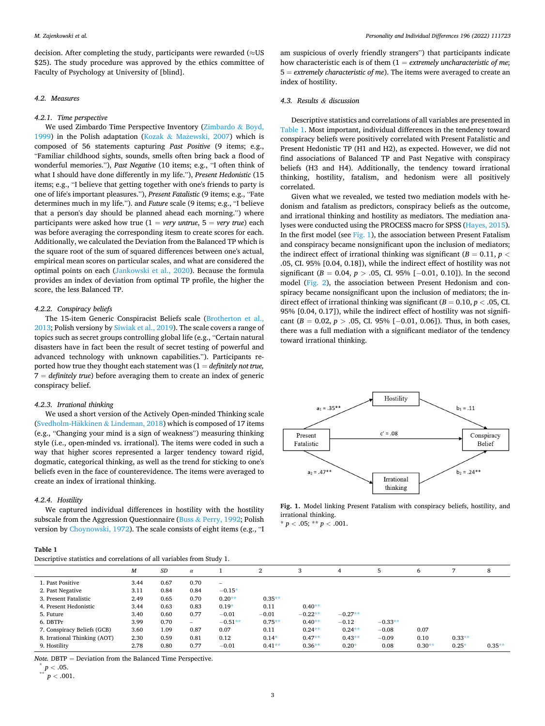decision. After completing the study, participants were rewarded ( $\approx$ US \$25). The study procedure was approved by the ethics committee of Faculty of Psychology at University of [blind].

#### *4.2. Measures*

#### *4.2.1. Time perspective*

We used Zimbardo Time Perspective Inventory ([Zimbardo](#page-6-0) & Boyd, [1999\)](#page-6-0) in the Polish adaptation (Kozak & Mażewski, 2007) which is composed of 56 statements capturing *Past Positive* (9 items; e.g., "Familiar childhood sights, sounds, smells often bring back a flood of wonderful memories."), *Past Negative* (10 items; e.g., "I often think of what I should have done differently in my life."), *Present Hedonistic* (15 items; e.g., "I believe that getting together with one's friends to party is one of life's important pleasures."), *Present Fatalistic* (9 items; e.g., "Fate determines much in my life."). and *Future* scale (9 items; e.g., "I believe that a person's day should be planned ahead each morning.") where participants were asked how true  $(1 = \text{very}$  untrue,  $5 = \text{very}$  true) each was before averaging the corresponding itesm to create scores for each. Additionally, we calculated the Deviation from the Balanced TP which is the square root of the sum of squared differences between one's actual, empirical mean scores on particular scales, and what are considered the optimal points on each [\(Jankowski et al., 2020\)](#page-5-0). Because the formula provides an index of deviation from optimal TP profile, the higher the score, the less Balanced TP.

#### *4.2.2. Conspiracy beliefs*

The 15-item Generic Conspiracist Beliefs scale ([Brotherton et al.,](#page-5-0)  [2013;](#page-5-0) Polish versiony by [Siwiak et al., 2019](#page-5-0)). The scale covers a range of topics such as secret groups controlling global life (e.g., "Certain natural disasters have in fact been the result of secret testing of powerful and advanced technology with unknown capabilities."). Participants reported how true they thought each statement was (1 = *definitely not true,*  7 = *definitely true*) before averaging them to create an index of generic conspiracy belief.

#### *4.2.3. Irrational thinking*

We used a short version of the Actively Open-minded Thinking scale (Svedholm-Häkkinen  $&$  Lindeman, 2018) which is composed of 17 items (e.g., "Changing your mind is a sign of weakness") measuring thinking style (i.e., open-minded vs. irrational). The items were coded in such a way that higher scores represented a larger tendency toward rigid, dogmatic, categorical thinking, as well as the trend for sticking to one's beliefs even in the face of counterevidence. The items were averaged to create an index of irrational thinking.

#### *4.2.4. Hostility*

We captured individual differences in hostility with the hostility subscale from the Aggression Questionnaire (Buss & [Perry, 1992;](#page-5-0) Polish version by [Choynowski, 1972](#page-5-0)). The scale consists of eight items (e.g., "I

| Table |  |
|-------|--|
|       |  |

| Descriptive statistics and correlations of all variables from Study 1. |  |
|------------------------------------------------------------------------|--|
|------------------------------------------------------------------------|--|

am suspicious of overly friendly strangers") that participants indicate how characteristic each is of them (1 = *extremely uncharacteristic of me*; 5 = *extremely characteristic of me*). The items were averaged to create an index of hostility.

## *4.3. Results & discussion*

Descriptive statistics and correlations of all variables are presented in Table 1. Most important, individual differences in the tendency toward conspiracy beliefs were positively correlated with Present Fatalistic and Present Hedonistic TP (H1 and H2), as expected. However, we did not find associations of Balanced TP and Past Negative with conspiracy beliefs (H3 and H4). Additionally, the tendency toward irrational thinking, hostility, fatalism, and hedonism were all positively correlated.

Given what we revealed, we tested two mediation models with hedonism and fatalism as predictors, conspiracy beliefs as the outcome, and irrational thinking and hostility as mediators. The mediation analyses were conducted using the PROCESS macro for SPSS [\(Hayes, 2015](#page-5-0)). In the first model (see Fig. 1), the association between Present Fatalism and conspiracy became nonsignificant upon the inclusion of mediators; the indirect effect of irrational thinking was significant ( $B = 0.11$ ,  $p <$ .05, CI. 95% [0.04, 0.18]), while the indirect effect of hostility was not significant (*B* = 0.04, *p >* .05, CI. 95% [− 0.01, 0.10]). In the second model [\(Fig. 2\)](#page-3-0), the association between Present Hedonism and conspiracy became nonsignificant upon the inclusion of mediators; the indirect effect of irrational thinking was significant ( $B = 0.10$ ,  $p < .05$ , CI. 95% [0.04, 0.17]), while the indirect effect of hostility was not significant (*B* = 0.02, *p >* .05, CI. 95% [− 0.01, 0.06]). Thus, in both cases, there was a full mediation with a significant mediator of the tendency toward irrational thinking.



**Fig. 1.** Model linking Present Fatalism with conspiracy beliefs, hostility, and irrational thinking.

 $* p < .05; ** p < .001.$ 

|                              | M    | SD   | $\alpha$          |                          | 2         | 3         | 4         | 5         | 6        |          | 8        |
|------------------------------|------|------|-------------------|--------------------------|-----------|-----------|-----------|-----------|----------|----------|----------|
| 1. Past Positive             | 3.44 | 0.67 | 0.70              | $\overline{\phantom{a}}$ |           |           |           |           |          |          |          |
| 2. Past Negative             | 3.11 | 0.84 | 0.84              | $-0.15*$                 |           |           |           |           |          |          |          |
| 3. Present Fatalistic        | 2.49 | 0.65 | 0.70              | $0.20**$                 | $0.35**$  |           |           |           |          |          |          |
| 4. Present Hedonistic        | 3.44 | 0.63 | 0.83              | $0.19*$                  | 0.11      | $0.40**$  |           |           |          |          |          |
| 5. Future                    | 3.40 | 0.60 | 0.77              | $-0.01$                  | $-0.01$   | $-0.22**$ | $-0.27**$ |           |          |          |          |
| 6. DBTPr                     | 3.99 | 0.70 | $\qquad \qquad -$ | $-0.51**$                | $0.75***$ | $0.40**$  | $-0.12$   | $-0.33**$ |          |          |          |
| 7. Conspiracy Beliefs (GCB)  | 3.60 | 1.09 | 0.87              | 0.07                     | 0.11      | $0.24**$  | $0.24**$  | $-0.08$   | 0.07     |          |          |
| 8. Irrational Thinking (AOT) | 2.30 | 0.59 | 0.81              | 0.12                     | $0.14*$   | $0.47**$  | $0.43**$  | $-0.09$   | 0.10     | $0.33**$ |          |
| 9. Hostility                 | 2.78 | 0.80 | 0.77              | $-0.01$                  | $0.41**$  | $0.36**$  | $0.20*$   | 0.08      | $0.30**$ | $0.25*$  | $0.35**$ |

*Note.* **DBTP** = Deviation from the Balanced Time Perspective. \*  $p < .05$ .<br>\*\*  $p < .001$ .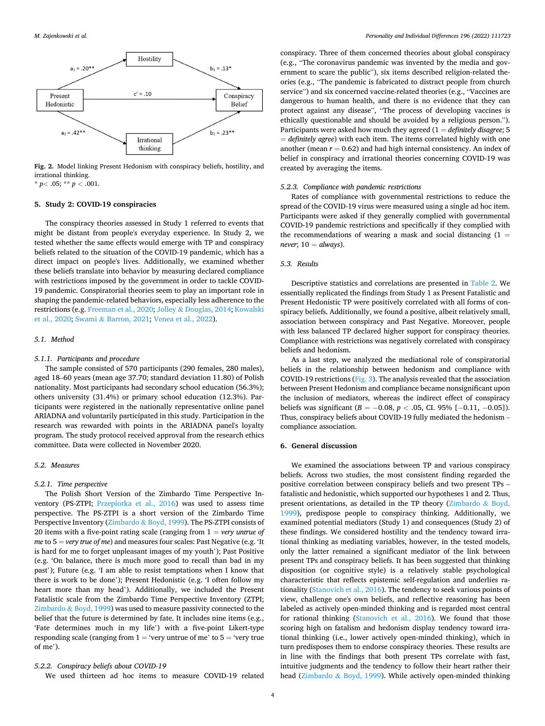<span id="page-3-0"></span>

**Fig. 2.** Model linking Present Hedonism with conspiracy beliefs, hostility, and irrational thinking.

 $*$  *p* < .05;  $*$  *p* < .001.

#### **5. Study 2: COVID-19 conspiracies**

The conspiracy theories assessed in Study 1 referred to events that might be distant from people's everyday experience. In Study 2, we tested whether the same effects would emerge with TP and conspiracy beliefs related to the situation of the COVID-19 pandemic, which has a direct impact on people's lives. Additionally, we examined whether these beliefs translate into behavior by measuring declared compliance with restrictions imposed by the government in order to tackle COVID-19 pandemic. Conspiratorial theories seem to play an important role in shaping the pandemic-related behaviors, especially less adherence to the restrictions (e.g. [Freeman et al., 2020;](#page-5-0) Jolley & [Douglas, 2014; Kowalski](#page-5-0)  [et al., 2020;](#page-5-0) Swami & [Barron, 2021; Venea et al., 2022\)](#page-6-0).

#### *5.1. Method*

#### *5.1.1. Participants and procedure*

The sample consisted of 570 participants (290 females, 280 males), aged 18–60 years (mean age 37.70; standard deviation 11.80) of Polish nationality. Most participants had secondary school education (56.3%); others university (31.4%) or primary school education (12.3%). Participants were registered in the nationally representative online panel ARIADNA and voluntarily participated in this study. Participation in the research was rewarded with points in the ARIADNA panel's loyalty program. The study protocol received approval from the research ethics committee. Data were collected in November 2020.

## *5.2. Measures*

## *5.2.1. Time perspective*

The Polish Short Version of the Zimbardo Time Perspective Inventory (PS-ZTPI; [Przepiorka et al., 2016\)](#page-5-0) was used to assess time perspective. The PS-ZTPI is a short version of the Zimbardo Time Perspective Inventory (Zimbardo & [Boyd, 1999\)](#page-6-0). The PS-ZTPI consists of 20 items with a five-point rating scale (ranging from 1 = *very untrue of me* to 5 = *very true of me*) and measures four scales: Past Negative (e.g. 'It is hard for me to forget unpleasant images of my youth'); Past Positive (e.g. 'On balance, there is much more good to recall than bad in my past'); Future (e.g. 'I am able to resist temptations when I know that there is work to be done'); Present Hedonistic (e.g. 'I often follow my heart more than my head'). Additionally, we included the Present Fatalistic scale from the Zimbardo Time Perspective Inventory (ZTPI; Zimbardo  $&$  [Boyd, 1999](#page-6-0)) was used to measure passivity connected to the belief that the future is determined by fate. It includes nine items (e.g., 'Fate determines much in my life') with a five-point Likert-type responding scale (ranging from  $1 = 'very$  untrue of me' to  $5 = 'very$  true of me').

#### *5.2.2. Conspiracy beliefs about COVID-19*

We used thirteen ad hoc items to measure COVID-19 related

conspiracy. Three of them concerned theories about global conspiracy (e.g., "The coronavirus pandemic was invented by the media and government to scare the public"), six items described religion-related theories (e.g., "The pandemic is fabricated to distract people from church service") and six concerned vaccine-related theories (e.g., "Vaccines are dangerous to human health, and there is no evidence that they can protect against any disease", "The process of developing vaccines is ethically questionable and should be avoided by a religious person."). Participants were asked how much they agreed (1 = *definitely disagree*; 5 = *definitely agree*) with each item. The items correlated highly with one another (mean *r* = 0.62) and had high internal consistency. An index of belief in conspiracy and irrational theories concerning COVID-19 was created by averaging the items.

#### *5.2.3. Compliance with pandemic restrictions*

Rates of compliance with governmental restrictions to reduce the spread of the COVID-19 virus were measured using a single ad hoc item. Participants were asked if they generally complied with governmental COVID-19 pandemic restrictions and specifically if they complied with the recommendations of wearing a mask and social distancing  $(1 =$  $never$ ;  $10 = always$ ).

## *5.3. Results*

Descriptive statistics and correlations are presented in [Table 2](#page-4-0). We essentially replicated the findings from Study 1 as Present Fatalistic and Present Hedonistic TP were positively correlated with all forms of conspiracy beliefs. Additionally, we found a positive, albeit relatively small, association between conspiracy and Past Negative. Moreover, people with less balanced TP declared higher support for conspiracy theories. Compliance with restrictions was negatively correlated with conspiracy beliefs and hedonism.

As a last step, we analyzed the mediational role of conspiratorial beliefs in the relationship between hedonism and compliance with COVID-19 restrictions ([Fig. 3](#page-4-0)). The analysis revealed that the association between Present Hedonism and compliance became nonsignificant upon the inclusion of mediators, whereas the indirect effect of conspiracy beliefs was significant ( $B = -0.08$ ,  $p < .05$ , CI. 95% [−0.11, −0.05]). Thus, conspiracy beliefs about COVID-19 fully mediated the hedonism – compliance association.

## **6. General discussion**

We examined the associations between TP and various conspiracy beliefs. Across two studies, the most consistent finding regarded the positive correlation between conspiracy beliefs and two present TPs – fatalistic and hedonistic, which supported our hypotheses 1 and 2. Thus, present orientations, as detailed in the TP theory ([Zimbardo](#page-6-0) & Boyd, [1999\)](#page-6-0), predispose people to conspiracy thinking. Additionally, we examined potential mediators (Study 1) and consequences (Study 2) of these findings. We considered hostility and the tendency toward irrational thinking as mediating variables, however, in the tested models, only the latter remained a significant mediator of the link between present TPs and conspiracy beliefs. It has been suggested that thinking disposition (or cognitive style) is a relatively stable psychological characteristic that reflects epistemic self-regulation and underlies rationality [\(Stanovich et al., 2016](#page-5-0)). The tendency to seek various points of view, challenge one's own beliefs, and reflective reasoning has been labeled as actively open-minded thinking and is regarded most central for rational thinking [\(Stanovich et al., 2016\)](#page-5-0). We found that those scoring high on fatalism and hedonism display tendency toward irrational thinking (i.e., lower actively open-minded thinking), which in turn predisposes them to endorse conspiracy theories. These results are in line with the findings that both present TPs correlate with fast, intuitive judgments and the tendency to follow their heart rather their head (Zimbardo & [Boyd, 1999\)](#page-6-0). While actively open-minded thinking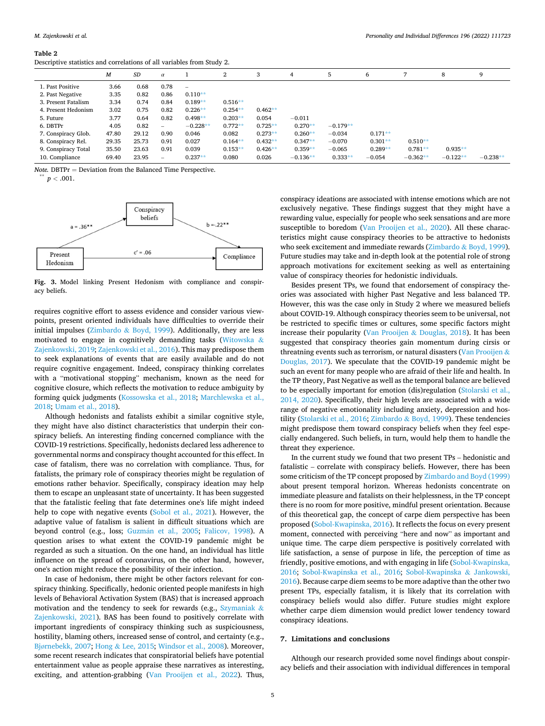<span id="page-4-0"></span>**Table 2** 

|  |  | Descriptive statistics and correlations of all variables from Study 2. |
|--|--|------------------------------------------------------------------------|
|--|--|------------------------------------------------------------------------|

|                     | M     | SD    | $\alpha$ |            | $^{2}$    | 3         | 4          | 5          | 6         | 7          | 8          | 9          |
|---------------------|-------|-------|----------|------------|-----------|-----------|------------|------------|-----------|------------|------------|------------|
| 1. Past Positive    | 3.66  | 0.68  | 0.78     |            |           |           |            |            |           |            |            |            |
| 2. Past Negative    | 3.35  | 0.82  | 0.86     | $0.110**$  |           |           |            |            |           |            |            |            |
| 3. Present Fatalism | 3.34  | 0.74  | 0.84     | $0.189**$  | $0.516**$ |           |            |            |           |            |            |            |
| 4. Present Hedonism | 3.02  | 0.75  | 0.82     | $0.226**$  | $0.254**$ | $0.462**$ |            |            |           |            |            |            |
| 5. Future           | 3.77  | 0.64  | 0.82     | $0.498**$  | $0.203**$ | 0.054     | $-0.011$   |            |           |            |            |            |
| 6. DBTPr            | 4.05  | 0.82  | -        | $-0.228**$ | $0.772**$ | $0.725**$ | $0.270**$  | $-0.179**$ |           |            |            |            |
| 7. Conspiracy Glob. | 47.80 | 29.12 | 0.90     | 0.046      | 0.082     | $0.273**$ | $0.260**$  | $-0.034$   | $0.171**$ |            |            |            |
| 8. Conspiracy Rel.  | 29.35 | 25.73 | 0.91     | 0.027      | $0.164**$ | $0.432**$ | $0.347**$  | $-0.070$   | $0.301**$ | $0.510**$  |            |            |
| 9. Conspiracy Total | 35.50 | 23.63 | 0.91     | 0.039      | $0.153**$ | $0.426**$ | $0.359**$  | $-0.065$   | $0.289**$ | $0.781**$  | $0.935**$  |            |
| 10. Compliance      | 69.40 | 23.95 | -        | $0.237**$  | 0.080     | 0.026     | $-0.136**$ | $0.333**$  | $-0.054$  | $-0.362**$ | $-0.122**$ | $-0.238**$ |

*Note.* **DBTPr** = Deviation from the Balanced Time Perspective. \*\*\* *p* < .001.



**Fig. 3.** Model linking Present Hedonism with compliance and conspiracy beliefs.

requires cognitive effort to assess evidence and consider various viewpoints, present oriented individuals have difficulties to override their initial impulses (Zimbardo & [Boyd, 1999](#page-6-0)). Additionally, they are less motivated to engage in cognitively demanding tasks [\(Witowska](#page-6-0) & [Zajenkowski, 2019](#page-6-0); [Zajenkowski et al., 2016\)](#page-6-0). This may predispose them to seek explanations of events that are easily available and do not require cognitive engagement. Indeed, conspiracy thinking correlates with a "motivational stopping" mechanism, known as the need for cognitive closure, which reflects the motivation to reduce ambiguity by forming quick judgments ([Kossowska et al., 2018](#page-5-0); [Marchlewska et al.,](#page-5-0)  [2018;](#page-5-0) [Umam et al., 2018](#page-6-0)).

Although hedonists and fatalists exhibit a similar cognitive style, they might have also distinct characteristics that underpin their conspiracy beliefs. An interesting finding concerned compliance with the COVID-19 restrictions. Specifically, hedonists declared less adherence to governmental norms and conspiracy thought accounted for this effect. In case of fatalism, there was no correlation with compliance. Thus, for fatalists, the primary role of conspiracy theories might be regulation of emotions rather behavior. Specifically, conspiracy ideation may help them to escape an unpleasant state of uncertainty. It has been suggested that the fatalistic feeling that fate determines one's life might indeed help to cope with negative events [\(Sobol et al., 2021\)](#page-5-0). However, the adaptive value of fatalism is salient in difficult situations which are beyond control (e.g., loss; Guzmán [et al., 2005](#page-5-0); [Falicov, 1998\)](#page-5-0). A question arises to what extent the COVID-19 pandemic might be regarded as such a situation. On the one hand, an individual has little influence on the spread of coronavirus, on the other hand, however, one's action might reduce the possibility of their infection.

In case of hedonism, there might be other factors relevant for conspiracy thinking. Specifically, hedonic oriented people manifests in high levels of Behavioral Activation System (BAS) that is increased approach motivation and the tendency to seek for rewards (e.g., [Szymaniak](#page-6-0)  $\&$ [Zajenkowski, 2021](#page-6-0)). BAS has been found to positively correlate with important ingredients of conspiracy thinking such as suspiciousness, hostility, blaming others, increased sense of control, and certainty (e.g., Bjø[rnebekk, 2007;](#page-5-0) Hong & [Lee, 2015;](#page-5-0) [Windsor et al., 2008](#page-6-0)). Moreover, some recent research indicates that conspiratorial beliefs have potential entertainment value as people appraise these narratives as interesting, exciting, and attention-grabbing ([Van Prooijen et al., 2022\)](#page-6-0). Thus,

conspiracy ideations are associated with intense emotions which are not exclusively negative. These findings suggest that they might have a rewarding value, especially for people who seek sensations and are more susceptible to boredom ([Van Prooijen et al., 2020\)](#page-6-0). All these characteristics might cause conspiracy theories to be attractive to hedonists who seek excitement and immediate rewards (Zimbardo & [Boyd, 1999](#page-6-0)). Future studies may take and in-depth look at the potential role of strong approach motivations for excitement seeking as well as entertaining value of conspiracy theories for hedonistic individuals.

Besides present TPs, we found that endorsement of conspiracy theories was associated with higher Past Negative and less balanced TP. However, this was the case only in Study 2 where we measured beliefs about COVID-19. Although conspiracy theories seem to be universal, not be restricted to specific times or cultures, some specific factors might increase their popularity (Van Prooijen & [Douglas, 2018\)](#page-6-0). It has been suggested that conspiracy theories gain momentum during cirsis or threatning events such as terrorism, or natural disasters [\(Van Prooijen](#page-6-0) & [Douglas, 2017](#page-6-0)). We speculate that the COVID-19 pandemic might be such an event for many people who are afraid of their life and health. In the TP theory, Past Negative as well as the temporal balance are believed to be especially important for emotion (dis)regulation [\(Stolarski et al.,](#page-5-0)  [2014, 2020\)](#page-5-0). Specifically, their high levels are associated with a wide range of negative emotionality including anxiety, depression and hostility ([Stolarski et al., 2016](#page-5-0); Zimbardo & [Boyd, 1999\)](#page-6-0). These tendencies might predispose them toward conspiracy beliefs when they feel especially endangered. Such beliefs, in turn, would help them to handle the threat they experience.

In the current study we found that two present TPs – hedonistic and fatalistic – correlate with conspiracy beliefs. However, there has been some criticism of the TP concept proposed by [Zimbardo and Boyd \(1999\)](#page-6-0)  about present temporal horizon. Whereas hedonists concentrate on immediate pleasure and fatalists on their helplessness, in the TP concept there is no room for more positive, mindful present orientation. Because of this theoretical gap, the concept of carpe diem perspective has been proposed ([Sobol-Kwapinska, 2016\)](#page-5-0). It reflects the focus on every present moment, connected with perceiving "here and now" as important and unique time. The carpe diem perspective is positively correlated with life satisfaction, a sense of purpose in life, the perception of time as friendly, positive emotions, and with engaging in life [\(Sobol-Kwapinska,](#page-5-0)  [2016;](#page-5-0) [Sobol-Kwapinska et al., 2016;](#page-5-0) [Sobol-Kwapinska](#page-5-0) & Jankowski, [2016\)](#page-5-0). Because carpe diem seems to be more adaptive than the other two present TPs, especially fatalism, it is likely that its correlation with conspiracy beliefs would also differ. Future studies might explore whether carpe diem dimension would predict lower tendency toward conspiracy ideations.

## **7. Limitations and conclusions**

Although our research provided some novel findings about conspiracy beliefs and their association with individual differences in temporal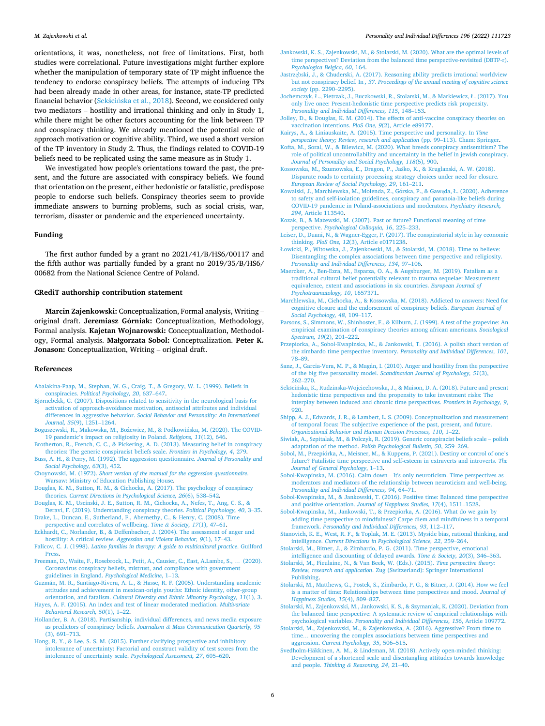<span id="page-5-0"></span>orientations, it was, nonetheless, not free of limitations. First, both studies were correlational. Future investigations might further explore whether the manipulation of temporary state of TP might influence the tendency to endorse conspiracy beliefs. The attempts of inducing TPs had been already made in other areas, for instance, state-TP predicted financial behavior (Sekścińska et al., 2018). Second, we considered only two mediators – hostility and irrational thinking and only in Study 1, while there might be other factors accounting for the link between TP and conspiracy thinking. We already mentioned the potential role of approach motivation or cognitive ability. Third, we used a short version of the TP inventory in Study 2. Thus, the findings related to COVID-19 beliefs need to be replicated using the same measure as in Study 1.

We investigated how people's orientations toward the past, the present, and the future are associated with conspiracy beliefs. We found that orientation on the present, either hedonistic or fatalistic, predispose people to endorse such beliefs. Conspiracy theories seem to provide immediate answers to burning problems, such as social crisis, war, terrorism, disaster or pandemic and the experienced uncertainty.

## **Funding**

The first author funded by a grant no 2021/41/B/HS6/00117 and the fifth author was partially funded by a grant no 2019/35/B/HS6/ 00682 from the National Science Centre of Poland.

#### **CRediT authorship contribution statement**

**Marcin Zajenkowski:** Conceptualization, Formal analysis, Writing – original draft. **Jeremiasz Górniak:** Conceptualization, Methodology, Formal analysis. **Kajetan Wojnarowski:** Conceptualization, Methodology, Formal analysis. **Małgorzata Sobol:** Conceptualization. **Peter K. Jonason:** Conceptualization, Writing – original draft.

#### **References**

- [Abalakina-Paap, M., Stephan, W. G., Craig, T., & Gregory, W. L. \(1999\). Beliefs in](http://refhub.elsevier.com/S0191-8869(22)00228-8/rf202205142155392219)  conspiracies. *[Political Psychology, 20](http://refhub.elsevier.com/S0191-8869(22)00228-8/rf202205142155392219)*, 637–647.
- Bjø[rnebekk, G. \(2007\). Dispositions related to sensitivity in the neurological basis for](http://refhub.elsevier.com/S0191-8869(22)00228-8/rf202205142155403377) [activation of approach-avoidance motivation, antisocial attributes and individual](http://refhub.elsevier.com/S0191-8869(22)00228-8/rf202205142155403377)  differences in aggressive behavior. *[Social Behavior and Personality: An International](http://refhub.elsevier.com/S0191-8869(22)00228-8/rf202205142155403377)  [Journal, 35](http://refhub.elsevier.com/S0191-8869(22)00228-8/rf202205142155403377)*(9), 1251–1264.
- Boguszewski, R., Makowska, M., Bożewicz, M., & Podkowińska, M. (2020). The COVID-19 pandemic'[s impact on religiosity in Poland.](http://refhub.elsevier.com/S0191-8869(22)00228-8/rf202205142155409627) *Religions, 11*(12), 646.
- [Brotherton, R., French, C. C., & Pickering, A. D. \(2013\). Measuring belief in conspiracy](http://refhub.elsevier.com/S0191-8869(22)00228-8/rf202205142152094538)  [theories: The generic conspiracist beliefs scale.](http://refhub.elsevier.com/S0191-8869(22)00228-8/rf202205142152094538) *Frontiers in Psychology, 4*, 279.
- [Buss, A. H., & Perry, M. \(1992\). The aggression questionnaire.](http://refhub.elsevier.com/S0191-8869(22)00228-8/rf202205142155430138) *Journal of Personality and [Social Psychology, 63](http://refhub.elsevier.com/S0191-8869(22)00228-8/rf202205142155430138)*(3), 452.
- Choynowski, M. (1972). *[Short version of the manual for the aggression questionnaire](http://refhub.elsevier.com/S0191-8869(22)00228-8/rf202205142152222385)*. [Warsaw: Ministry of Education Publishing House](http://refhub.elsevier.com/S0191-8869(22)00228-8/rf202205142152222385).
- [Douglas, K. M., Sutton, R. M., & Cichocka, A. \(2017\). The psychology of conspiracy](http://refhub.elsevier.com/S0191-8869(22)00228-8/rf202205142155468087)  theories. *[Current Directions in Psychological Science, 26](http://refhub.elsevier.com/S0191-8869(22)00228-8/rf202205142155468087)*(6), 538–542.
- [Douglas, K. M., Uscinski, J. E., Sutton, R. M., Cichocka, A., Nefes, T., Ang, C. S., &](http://refhub.elsevier.com/S0191-8869(22)00228-8/rf202205142155477950)  [Deravi, F. \(2019\). Understanding conspiracy theories.](http://refhub.elsevier.com/S0191-8869(22)00228-8/rf202205142155477950) *Political Psychology, 40*, 3–35. [Drake, L., Duncan, E., Sutherland, F., Abernethy, C., & Henry, C. \(2008\). Time](http://refhub.elsevier.com/S0191-8869(22)00228-8/rf202205142155492268)
- [perspective and correlates of wellbeing.](http://refhub.elsevier.com/S0191-8869(22)00228-8/rf202205142155492268) *Time & Society, 17*(1), 47–61. [Eckhardt, C., Norlander, B., & Deffenbacher, J. \(2004\). The assessment of anger and](http://refhub.elsevier.com/S0191-8869(22)00228-8/rf202205142155506290)
- hostility: A critical review. *[Aggression and Violent Behavior, 9](http://refhub.elsevier.com/S0191-8869(22)00228-8/rf202205142155506290)*(1), 17–43. Falicov, C. J. (1998). *[Latino families in therapy: A guide to multicultural practice](http://refhub.elsevier.com/S0191-8869(22)00228-8/rf202205142152357657)*. Guilford
- [Press.](http://refhub.elsevier.com/S0191-8869(22)00228-8/rf202205142152357657) [Freeman, D., Waite, F., Rosebrock, L., Petit, A., Causier, C., East, A.Lambe, S.,](http://refhub.elsevier.com/S0191-8869(22)00228-8/rf202205142152381355) … (2020).
- [Coronavirus conspiracy beliefs, mistrust, and compliance with government](http://refhub.elsevier.com/S0191-8869(22)00228-8/rf202205142152381355)  [guidelines in England.](http://refhub.elsevier.com/S0191-8869(22)00228-8/rf202205142152381355) *Psychological Medicine*, 1–13.
- Guzmán, [M. R., Santiago-Rivera, A. L., & Hasse, R. F. \(2005\). Understanding academic](http://refhub.elsevier.com/S0191-8869(22)00228-8/rf202205142155522664) [attitudes and achievement in mexican-origin youths: Ethnic identity, other-group](http://refhub.elsevier.com/S0191-8869(22)00228-8/rf202205142155522664) orientation, and fatalism. *[Cultural Diversity and Ethnic Minority Psychology, 11](http://refhub.elsevier.com/S0191-8869(22)00228-8/rf202205142155522664)*(1), 3.

[Hayes, A. F. \(2015\). An index and test of linear moderated mediation.](http://refhub.elsevier.com/S0191-8869(22)00228-8/rf202205142155533887) *Multivariate [Behavioral Research, 50](http://refhub.elsevier.com/S0191-8869(22)00228-8/rf202205142155533887)*(1), 1–22.

- [Hollander, B. A. \(2018\). Partisanship, individual differences, and news media exposure](http://refhub.elsevier.com/S0191-8869(22)00228-8/rf202205142155568001) [as predictors of conspiracy beliefs.](http://refhub.elsevier.com/S0191-8869(22)00228-8/rf202205142155568001) *Journalism & Mass Communication Quarterly, 95*  [\(3\), 691](http://refhub.elsevier.com/S0191-8869(22)00228-8/rf202205142155568001)–713.
- [Hong, R. Y., & Lee, S. S. M. \(2015\). Further clarifying prospective and inhibitory](http://refhub.elsevier.com/S0191-8869(22)00228-8/rf202205142155555042)  [intolerance of uncertainty: Factorial and construct validity of test scores from the](http://refhub.elsevier.com/S0191-8869(22)00228-8/rf202205142155555042) [intolerance of uncertainty scale.](http://refhub.elsevier.com/S0191-8869(22)00228-8/rf202205142155555042) *Psychological Assessment, 27*, 605–620.
- [Jankowski, K. S., Zajenkowski, M., & Stolarski, M. \(2020\). What are the optimal levels of](http://refhub.elsevier.com/S0191-8869(22)00228-8/rf202205142155589501)  [time perspectives? Deviation from the balanced time perspective-revisited \(DBTP-r\).](http://refhub.elsevier.com/S0191-8869(22)00228-8/rf202205142155589501)  *[Psychologica Belgica, 60](http://refhub.elsevier.com/S0191-8869(22)00228-8/rf202205142155589501)*, 164.
- Jastrzę[bski, J., & Chuderski, A. \(2017\). Reasoning ability predicts irrational worldview](http://refhub.elsevier.com/S0191-8869(22)00228-8/rf202205142153206988)  but not conspiracy belief. In *, 37*. *[Proceedings of the annual meeting of cognitive science](http://refhub.elsevier.com/S0191-8869(22)00228-8/rf202205142153206988)  society* [\(pp. 2290](http://refhub.elsevier.com/S0191-8869(22)00228-8/rf202205142153206988)–2295).
- Jochemczyk, Ł[., Pietrzak, J., Buczkowski, R., Stolarski, M., & Markiewicz,](http://refhub.elsevier.com/S0191-8869(22)00228-8/rf202205142156002077) Ł. (2017). You [only live once: Present-hedonistic time perspective predicts risk propensity.](http://refhub.elsevier.com/S0191-8869(22)00228-8/rf202205142156002077)  *[Personality and Individual Differences, 115](http://refhub.elsevier.com/S0191-8869(22)00228-8/rf202205142156002077)*, 148–153.
- [Jolley, D., & Douglas, K. M. \(2014\). The effects of anti-vaccine conspiracy theories on](http://refhub.elsevier.com/S0191-8869(22)00228-8/rf202205142156011482) [vaccination intentions.](http://refhub.elsevier.com/S0191-8869(22)00228-8/rf202205142156011482) *PloS One, 9*(2), Article e89177.
- [Kairys, A., & Liniauskaite, A. \(2015\). Time perspective and personality. In](http://refhub.elsevier.com/S0191-8869(22)00228-8/rf202205142153451612) *Time [perspective theory; Review, research and application](http://refhub.elsevier.com/S0191-8869(22)00228-8/rf202205142153451612)* (pp. 99–113). Cham: Springer.
- [Kofta, M., Soral, W., & Bilewicz, M. \(2020\). What breeds conspiracy antisemitism? The](http://refhub.elsevier.com/S0191-8869(22)00228-8/rf202205142156023835) [role of political uncontrollability and uncertainty in the belief in jewish conspiracy.](http://refhub.elsevier.com/S0191-8869(22)00228-8/rf202205142156023835)  *[Journal of Personality and Social Psychology, 118](http://refhub.elsevier.com/S0191-8869(22)00228-8/rf202205142156023835)*(5), 900.
- [Kossowska, M., Szumowska, E., Dragon, P., Ja](http://refhub.elsevier.com/S0191-8869(22)00228-8/rf202205142156034970)śko, K., & Kruglanski, A. W. (2018). [Disparate roads to certainty processing strategy choices under need for closure.](http://refhub.elsevier.com/S0191-8869(22)00228-8/rf202205142156034970) *[European Review of Social Psychology, 29](http://refhub.elsevier.com/S0191-8869(22)00228-8/rf202205142156034970)*, 161–211.
- Kowalski, J., Marchlewska, M., Molenda, Z., Górska, P., & Gawęda, Ł. (2020). Adherence [to safety and self-isolation guidelines, conspiracy and paranoia-like beliefs during](http://refhub.elsevier.com/S0191-8869(22)00228-8/rf202205142156055534) [COVID-19 pandemic in Poland-associations and moderators.](http://refhub.elsevier.com/S0191-8869(22)00228-8/rf202205142156055534) *Psychiatry Research, 294*[, Article 113540.](http://refhub.elsevier.com/S0191-8869(22)00228-8/rf202205142156055534)
- Kozak, B., & Mażewski, [M. \(2007\). Past or future? Functional meaning of time](http://refhub.elsevier.com/S0191-8869(22)00228-8/rf202205142154131395) perspective. *[Psychological Colloquia, 16](http://refhub.elsevier.com/S0191-8869(22)00228-8/rf202205142154131395)*, 225–233.
- [Leiser, D., Duani, N., & Wagner-Egger, P. \(2017\). The conspiratorial style in lay economic](http://refhub.elsevier.com/S0191-8869(22)00228-8/rf202205142156090781)  thinking. *PloS One, 12*[\(3\), Article e0171238](http://refhub.elsevier.com/S0191-8869(22)00228-8/rf202205142156090781).
- Ł[owicki, P., Witowska, J., Zajenkowski, M., & Stolarski, M. \(2018\). Time to believe:](http://refhub.elsevier.com/S0191-8869(22)00228-8/rf202205142156097927)  [Disentangling the complex associations between time perspective and religiosity.](http://refhub.elsevier.com/S0191-8869(22)00228-8/rf202205142156097927) *[Personality and Individual Differences, 134](http://refhub.elsevier.com/S0191-8869(22)00228-8/rf202205142156097927)*, 97–106.
- [Maercker, A., Ben-Ezra, M., Esparza, O. A., & Augsburger, M. \(2019\). Fatalism as a](http://refhub.elsevier.com/S0191-8869(22)00228-8/rf202205142156109953) [traditional cultural belief potentially relevant to trauma sequelae: Measurement](http://refhub.elsevier.com/S0191-8869(22)00228-8/rf202205142156109953) [equivalence, extent and associations in six countries.](http://refhub.elsevier.com/S0191-8869(22)00228-8/rf202205142156109953) *European Journal of [Psychotraumatology, 10](http://refhub.elsevier.com/S0191-8869(22)00228-8/rf202205142156109953)*, 1657371.
- [Marchlewska, M., Cichocka, A., & Kossowska, M. \(2018\). Addicted to answers: Need for](http://refhub.elsevier.com/S0191-8869(22)00228-8/rf202205142156119664)  [cognitive closure and the endorsement of conspiracy beliefs.](http://refhub.elsevier.com/S0191-8869(22)00228-8/rf202205142156119664) *European Journal of [Social Psychology, 48](http://refhub.elsevier.com/S0191-8869(22)00228-8/rf202205142156119664)*, 109–117.
- [Parsons, S., Simmons, W., Shinhoster, F., & Kilburn, J. \(1999\). A test of the grapevine: An](http://refhub.elsevier.com/S0191-8869(22)00228-8/rf202205142154145381)  [empirical examination of conspiracy theories among african americans.](http://refhub.elsevier.com/S0191-8869(22)00228-8/rf202205142154145381) *Sociological [Spectrum, 19](http://refhub.elsevier.com/S0191-8869(22)00228-8/rf202205142154145381)*(2), 201–222.
- [Przepiorka, A., Sobol-Kwapinska, M., & Jankowski, T. \(2016\). A polish short version of](http://refhub.elsevier.com/S0191-8869(22)00228-8/rf202205142156132165)  [the zimbardo time perspective inventory.](http://refhub.elsevier.com/S0191-8869(22)00228-8/rf202205142156132165) *Personality and Individual Differences, 101*, 78–[89](http://refhub.elsevier.com/S0191-8869(22)00228-8/rf202205142156132165).
- Sanz, J., Garcia-Vera, M. P., & Magán, I. (2010). Anger and hostility from the perspective of the big five personality model. *[Scandinavian Journal of Psychology, 51](http://refhub.elsevier.com/S0191-8869(22)00228-8/rf202205142156139773)*(3), 262–[270](http://refhub.elsevier.com/S0191-8869(22)00228-8/rf202205142156139773).
- Sekścińska, K., Rudzinska-Wojciechowska, J., & Maison, D. A. (2018). Future and present [hedonistic time perspectives and the propensity to take investment risks: The](http://refhub.elsevier.com/S0191-8869(22)00228-8/rf202205142154173209) [interplay between induced and chronic time perspectives.](http://refhub.elsevier.com/S0191-8869(22)00228-8/rf202205142154173209) *Frontiers in Psychology, 9*, [920](http://refhub.elsevier.com/S0191-8869(22)00228-8/rf202205142154173209).
- [Shipp, A. J., Edwards, J. R., & Lambert, L. S. \(2009\). Conceptualization and measurement](http://refhub.elsevier.com/S0191-8869(22)00228-8/rf202205142156151555)  [of temporal focus: The subjective experience of the past, present, and future.](http://refhub.elsevier.com/S0191-8869(22)00228-8/rf202205142156151555) *[Organizational Behavior and Human Decision Processes, 110](http://refhub.elsevier.com/S0191-8869(22)00228-8/rf202205142156151555)*, 1–22.
- [Siwiak, A., Szpitalak, M., & Polczyk, R. \(2019\). Generic conspiracist beliefs scale](http://refhub.elsevier.com/S0191-8869(22)00228-8/rf202205142154186602)  polish adaptation of the method. *[Polish Psychological Bulletin, 50](http://refhub.elsevier.com/S0191-8869(22)00228-8/rf202205142154186602)*, 259–269.
- Sobol, M., Przepiórka, [A., Meisner, M., & Kuppens, P. \(2021\). Destiny or control of one](http://refhub.elsevier.com/S0191-8869(22)00228-8/rf202205142156205763)'s [future? Fatalistic time perspective and self-esteem in extraverts and introverts.](http://refhub.elsevier.com/S0191-8869(22)00228-8/rf202205142156205763) *The [Journal of General Psychology](http://refhub.elsevier.com/S0191-8869(22)00228-8/rf202205142156205763)*, 1–13.
- Sobol-Kwapinska, M. (2016). Calm down—[It's only neuroticism. Time perspectives as](http://refhub.elsevier.com/S0191-8869(22)00228-8/rf202205142156158117)  [moderators and mediators of the relationship between neuroticism and well-being.](http://refhub.elsevier.com/S0191-8869(22)00228-8/rf202205142156158117) *[Personality and Individual Differences, 94](http://refhub.elsevier.com/S0191-8869(22)00228-8/rf202205142156158117)*, 64–71.
- [Sobol-Kwapinska, M., & Jankowski, T. \(2016\). Positive time: Balanced time perspective](http://refhub.elsevier.com/S0191-8869(22)00228-8/rf202205142154202239)  and positive orientation. *[Journal of Happiness Studies, 17](http://refhub.elsevier.com/S0191-8869(22)00228-8/rf202205142154202239)*(4), 1511–1528.
- [Sobol-Kwapinska, M., Jankowski, T., & Przepiorka, A. \(2016\). What do we gain by](http://refhub.elsevier.com/S0191-8869(22)00228-8/rf202205142156174222) [adding time perspective to mindfulness? Carpe diem and mindfulness in a temporal](http://refhub.elsevier.com/S0191-8869(22)00228-8/rf202205142156174222)  framework. *[Personality and Individual Differences, 93](http://refhub.elsevier.com/S0191-8869(22)00228-8/rf202205142156174222)*, 112–117.
- [Stanovich, K. E., West, R. F., & Toplak, M. E. \(2013\). Myside bias, rational thinking, and](http://refhub.elsevier.com/S0191-8869(22)00228-8/rf202205190212506982)  intelligence. *[Current Directions in Psychological Science, 22](http://refhub.elsevier.com/S0191-8869(22)00228-8/rf202205190212506982)*, 259–264.

[Stolarski, M., Bitner, J., & Zimbardo, P. G. \(2011\). Time perspective, emotional](http://refhub.elsevier.com/S0191-8869(22)00228-8/rf202205142156232892)  [intelligence and discounting of delayed awards.](http://refhub.elsevier.com/S0191-8869(22)00228-8/rf202205142156232892) *Time & Society, 20*(3), 346–363.

- [Stolarski, M., Fieulaine, N., & Van Beek, W. \(Eds.\). \(2015\).](http://refhub.elsevier.com/S0191-8869(22)00228-8/rf202205142154237863) *Time perspective theory: Review, research and application*[. Zug \(Switzerland\): Springer International](http://refhub.elsevier.com/S0191-8869(22)00228-8/rf202205142154237863) [Publishing](http://refhub.elsevier.com/S0191-8869(22)00228-8/rf202205142154237863).
- [Stolarski, M., Matthews, G., Postek, S., Zimbardo, P. G., & Bitner, J. \(2014\). How we feel](http://refhub.elsevier.com/S0191-8869(22)00228-8/rf202205142156249152)  [is a matter of time: Relationships between time perspectives and mood.](http://refhub.elsevier.com/S0191-8869(22)00228-8/rf202205142156249152) *Journal of [Happiness Studies, 15](http://refhub.elsevier.com/S0191-8869(22)00228-8/rf202205142156249152)*(4), 809–827.
- [Stolarski, M., Zajenkowski, M., Jankowski, K. S., & Szymaniak, K. \(2020\). Deviation from](http://refhub.elsevier.com/S0191-8869(22)00228-8/rf202205142156282499)  [the balanced time perspective: A systematic review of empirical relationships with](http://refhub.elsevier.com/S0191-8869(22)00228-8/rf202205142156282499) psychological variables. *[Personality and Individual Differences, 156](http://refhub.elsevier.com/S0191-8869(22)00228-8/rf202205142156282499)*, Article 109772.
- [Stolarski, M., Zajenkowski, M., & Zajenkowska, A. \(2016\). Aggressive? From time to](http://refhub.elsevier.com/S0191-8869(22)00228-8/rf202205142156299634)  time… [uncovering the complex associations between time perspectives and](http://refhub.elsevier.com/S0191-8869(22)00228-8/rf202205142156299634)  aggression. *[Current Psychology, 35](http://refhub.elsevier.com/S0191-8869(22)00228-8/rf202205142156299634)*, 506–515.
- Svedholm-Häkkinen, A. M., & Lindeman, M. (2018). Actively open-minded thinking: [Development of a shortened scale and disentangling attitudes towards knowledge](http://refhub.elsevier.com/S0191-8869(22)00228-8/rf202205142156307003) and people. *Thinking & [Reasoning, 24](http://refhub.elsevier.com/S0191-8869(22)00228-8/rf202205142156307003)*, 21–40.